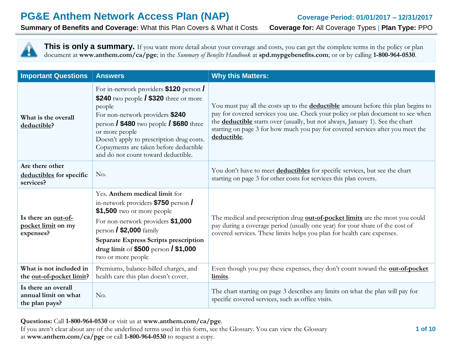**Summary of Benefits and Coverage:** What this Plan Covers & What it Costs **Coverage for:** All Coverage Types | **Plan Type:** PPO

This is only a summary. If you want more detail about your coverage and costs, you can get the complete terms in the policy or plan document at **www.anthem.com/ca/pge**; in the *Summary of Benefits Handbook* at **spd.mypgebenefits.com**; or or by calling **1-800-964-0530**.

| <b>Important Questions</b>                                    | <b>Answers</b>                                                                                                                                                                                                                                                                                                                                      | <b>Why this Matters:</b>                                                                                                                                                                                                                                                                                                                                                |  |
|---------------------------------------------------------------|-----------------------------------------------------------------------------------------------------------------------------------------------------------------------------------------------------------------------------------------------------------------------------------------------------------------------------------------------------|-------------------------------------------------------------------------------------------------------------------------------------------------------------------------------------------------------------------------------------------------------------------------------------------------------------------------------------------------------------------------|--|
| What is the overall<br>deductible?                            | For in-network providers \$120 person /<br>\$240 two people $/$ \$320 three or more<br>people<br>For non-network providers \$240<br>person $\frac{1}{2}$ \$480 two people $\frac{1}{2}$ \$680 three<br>or more people<br>Doesn't apply to prescription drug costs.<br>Copayments are taken before deductible<br>and do not count toward deductible. | You must pay all the costs up to the <b>deductible</b> amount before this plan begins to<br>pay for covered services you use. Check your policy or plan document to see when<br>the <b>deductible</b> starts over (usually, but not always, January 1). See the chart<br>starting on page 3 for how much you pay for covered services after you meet the<br>deductible. |  |
| Are there other<br>deductibles for specific<br>services?      | No.                                                                                                                                                                                                                                                                                                                                                 | You don't have to meet <b>deductibles</b> for specific services, but see the chart<br>starting on page 3 for other costs for services this plan covers.                                                                                                                                                                                                                 |  |
| Is there an out-of-<br>pocket limit on my<br>expenses?        | Yes. Anthem medical limit for<br>in-network providers \$750 person<br>$$1,500$ two or more people<br>For non-network providers \$1,000<br>person $/$ \$2,000 family<br><b>Separate Express Scripts prescription</b><br>drug limit of $$500$ person / $$1,000$<br>two or more people                                                                 | The medical and prescription drug out-of-pocket limits are the most you could<br>pay during a coverage period (usually one year) for your share of the cost of<br>covered services. These limits helps you plan for health care expenses.                                                                                                                               |  |
| What is not included in<br>the out-of-pocket limit?           | Premiums, balance-billed charges, and<br>health care this plan doesn't cover.                                                                                                                                                                                                                                                                       | Even though you pay these expenses, they don't count toward the <b>out-of-pocket</b><br>limits.                                                                                                                                                                                                                                                                         |  |
| Is there an overall<br>annual limit on what<br>the plan pays? | No.                                                                                                                                                                                                                                                                                                                                                 | The chart starting on page 3 describes any limits on what the plan will pay for<br>specific covered services, such as office visits.                                                                                                                                                                                                                                    |  |

**Questions:** Call **1-800-964-0530** or visit us at **www.anthem.com/ca/pge**.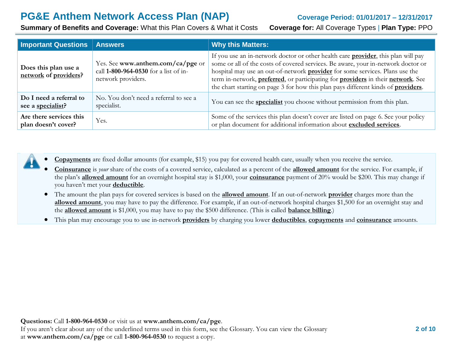**Summary of Benefits and Coverage:** What this Plan Covers & What it Costs **Coverage for:** All Coverage Types | **Plan Type:** PPO

| <b>Important Questions</b>                     | <b>Answers</b>                                                                                   | <b>Why this Matters:</b>                                                                                                                                                                                                                                                                                                                                                                                                                               |
|------------------------------------------------|--------------------------------------------------------------------------------------------------|--------------------------------------------------------------------------------------------------------------------------------------------------------------------------------------------------------------------------------------------------------------------------------------------------------------------------------------------------------------------------------------------------------------------------------------------------------|
| Does this plan use a<br>network of providers?  | Yes. See www.anthem.com/ca/pge or<br>call 1-800-964-0530 for a list of in-<br>network providers. | If you use an in-network doctor or other health care <b>provider</b> , this plan will pay<br>some or all of the costs of covered services. Be aware, your in-network doctor or<br>hospital may use an out-of-network <b>provider</b> for some services. Plans use the<br>term in-network, preferred, or participating for providers in their network. See<br>the chart starting on page 3 for how this plan pays different kinds of <b>providers</b> . |
| Do I need a referral to<br>see a specialist?   | No. You don't need a referral to see a<br>specialist.                                            | You can see the <b>specialist</b> you choose without permission from this plan.                                                                                                                                                                                                                                                                                                                                                                        |
| Are there services this<br>plan doesn't cover? | Yes.                                                                                             | Some of the services this plan doesn't cover are listed on page 6. See your policy<br>or plan document for additional information about excluded services.                                                                                                                                                                                                                                                                                             |



**Copayments** are fixed dollar amounts (for example, \$15) you pay for covered health care, usually when you receive the service.

- **Coinsurance** is *your* share of the costs of a covered service, calculated as a percent of the **allowed amount** for the service. For example, if the plan's **allowed amount** for an overnight hospital stay is \$1,000, your **coinsurance** payment of 20% would be \$200. This may change if you haven't met your **deductible**.
- The amount the plan pays for covered services is based on the **allowed amount**. If an out-of-network **provider** charges more than the **allowed amount**, you may have to pay the difference. For example, if an out-of-network hospital charges \$1,500 for an overnight stay and the **allowed amount** is \$1,000, you may have to pay the \$500 difference. (This is called **balance billing**.)
- This plan may encourage you to use in-network **providers** by charging you lower **deductibles**, **copayments** and **coinsurance** amounts.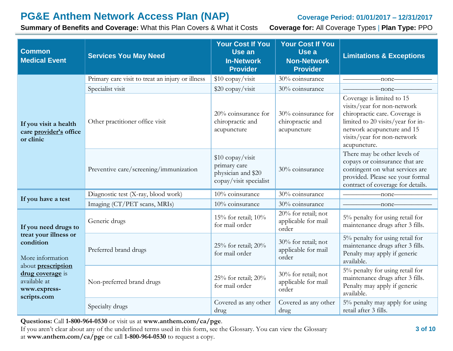**Summary of Benefits and Coverage:** What this Plan Covers & What it Costs **Coverage for:** All Coverage Types | **Plan Type:** PPO

| <b>Common</b><br><b>Medical Event</b>                                                                                                                                          | <b>Services You May Need</b>                     | <b>Your Cost If You</b><br>Use an<br><b>In-Network</b><br><b>Provider</b>        | <b>Your Cost If You</b><br>Use a<br><b>Non-Network</b><br><b>Provider</b> | <b>Limitations &amp; Exceptions</b>                                                                                                                                                                          |
|--------------------------------------------------------------------------------------------------------------------------------------------------------------------------------|--------------------------------------------------|----------------------------------------------------------------------------------|---------------------------------------------------------------------------|--------------------------------------------------------------------------------------------------------------------------------------------------------------------------------------------------------------|
|                                                                                                                                                                                | Primary care visit to treat an injury or illness | \$10 copay/visit                                                                 | 30% coinsurance                                                           | -none-                                                                                                                                                                                                       |
|                                                                                                                                                                                | Specialist visit                                 | \$20 copay/visit                                                                 | 30% coinsurance                                                           | -none-                                                                                                                                                                                                       |
| If you visit a health<br>care provider's office<br>or clinic                                                                                                                   | Other practitioner office visit                  | 20% coinsurance for<br>chiropractic and<br>acupuncture                           | 30% coinsurance for<br>chiropractic and<br>acupuncture                    | Coverage is limited to 15<br>visits/year for non-network<br>chiropractic care. Coverage is<br>limited to 20 visits/year for in-<br>network acupuncture and 15<br>visits/year for non-network<br>acupuncture. |
|                                                                                                                                                                                | Preventive care/screening/immunization           | \$10 copay/visit<br>primary care<br>physician and \$20<br>copay/visit specialist | 30% coinsurance                                                           | There may be other levels of<br>copays or coinsurance that are<br>contingent on what services are<br>provided. Please see your formal<br>contract of coverage for details.                                   |
|                                                                                                                                                                                | Diagnostic test (X-ray, blood work)              | 10% coinsurance                                                                  | 30% coinsurance                                                           | -none-                                                                                                                                                                                                       |
| If you have a test                                                                                                                                                             | Imaging (CT/PET scans, MRIs)                     | 10% coinsurance                                                                  | 30% coinsurance                                                           | -none-                                                                                                                                                                                                       |
| If you need drugs to<br>treat your illness or<br>condition<br>More information<br>about <b>prescription</b><br>drug coverage is<br>available at<br>www.express-<br>scripts.com | Generic drugs                                    | 15% for retail; $10\%$<br>for mail order                                         | 20% for retail; not<br>applicable for mail<br>order                       | 5% penalty for using retail for<br>maintenance drugs after 3 fills.                                                                                                                                          |
|                                                                                                                                                                                | Preferred brand drugs                            | 25% for retail; 20%<br>for mail order                                            | 30% for retail; not<br>applicable for mail<br>order                       | 5% penalty for using retail for<br>maintenance drugs after 3 fills.<br>Penalty may apply if generic<br>available.                                                                                            |
|                                                                                                                                                                                | Non-preferred brand drugs                        | 25% for retail; $20\%$<br>for mail order                                         | 30% for retail; not<br>applicable for mail<br>order                       | 5% penalty for using retail for<br>maintenance drugs after 3 fills.<br>Penalty may apply if generic<br>available.                                                                                            |
|                                                                                                                                                                                | Specialty drugs                                  | Covered as any other<br>drug                                                     | Covered as any other<br>drug                                              | 5% penalty may apply for using<br>retail after 3 fills.                                                                                                                                                      |

**Questions:** Call **1-800-964-0530** or visit us at **www.anthem.com/ca/pge**.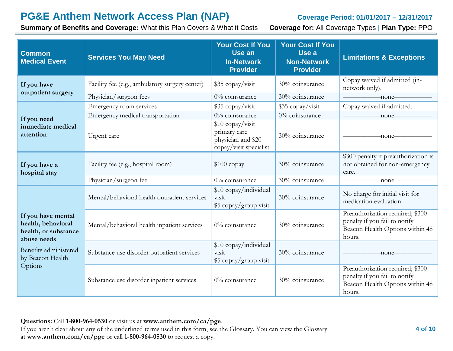**Summary of Benefits and Coverage:** What this Plan Covers & What it Costs **Coverage for:** All Coverage Types | **Plan Type:** PPO

| <b>Common</b><br><b>Medical Event</b>                                                                                                   | <b>Services You May Need</b>                   | <b>Your Cost If You</b><br>Use an<br><b>In-Network</b><br><b>Provider</b>        | <b>Your Cost If You</b><br>Use a<br><b>Non-Network</b><br><b>Provider</b> | <b>Limitations &amp; Exceptions</b>                                                                            |
|-----------------------------------------------------------------------------------------------------------------------------------------|------------------------------------------------|----------------------------------------------------------------------------------|---------------------------------------------------------------------------|----------------------------------------------------------------------------------------------------------------|
| If you have                                                                                                                             | Facility fee (e.g., ambulatory surgery center) | \$35 copay/visit                                                                 | 30% coinsurance                                                           | Copay waived if admitted (in-<br>network only).                                                                |
| outpatient surgery                                                                                                                      | Physician/surgeon fees                         | 0% coinsurance                                                                   | 30% coinsurance                                                           | -none-                                                                                                         |
|                                                                                                                                         | Emergency room services                        | \$35 copay/visit                                                                 | \$35 copay/visit                                                          | Copay waived if admitted.                                                                                      |
| If you need                                                                                                                             | Emergency medical transportation               | 0% coinsurance                                                                   | 0% coinsurance                                                            | -none-                                                                                                         |
| immediate medical<br>attention                                                                                                          | Urgent care                                    | \$10 copay/visit<br>primary care<br>physician and \$20<br>copay/visit specialist | 30% coinsurance                                                           | -none-                                                                                                         |
| If you have a<br>hospital stay                                                                                                          | Facility fee (e.g., hospital room)             | $$100$ copay                                                                     | 30% coinsurance                                                           | \$300 penalty if preauthorization is<br>not obtained for non-emergency<br>care.                                |
|                                                                                                                                         | Physician/surgeon fee                          | 0% coinsurance                                                                   | 30% coinsurance                                                           | -none-                                                                                                         |
|                                                                                                                                         | Mental/behavioral health outpatient services   | \$10 copay/individual<br>visit<br>\$5 copay/group visit                          | 30% coinsurance                                                           | No charge for initial visit for<br>medication evaluation.                                                      |
| If you have mental<br>health, behavioral<br>health, or substance<br>abuse needs<br>Benefits administered<br>by Beacon Health<br>Options | Mental/behavioral health inpatient services    | 0% coinsurance                                                                   | 30% coinsurance                                                           | Preauthorization required; \$300<br>penalty if you fail to notify<br>Beacon Health Options within 48<br>hours. |
|                                                                                                                                         | Substance use disorder outpatient services     | \$10 copay/individual<br>visit<br>\$5 copay/group visit                          | 30% coinsurance                                                           | -none-                                                                                                         |
|                                                                                                                                         | Substance use disorder inpatient services      | 0% coinsurance                                                                   | 30% coinsurance                                                           | Preauthorization required; \$300<br>penalty if you fail to notify<br>Beacon Health Options within 48<br>hours. |

# **Questions:** Call **1-800-964-0530** or visit us at **www.anthem.com/ca/pge**.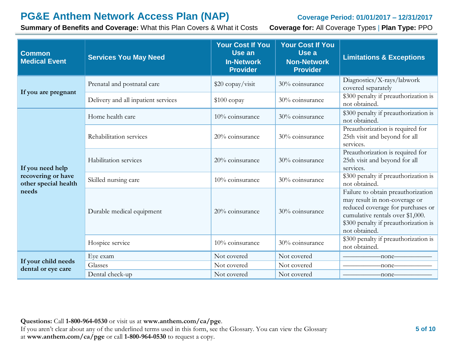**Summary of Benefits and Coverage:** What this Plan Covers & What it Costs **Coverage for:** All Coverage Types | **Plan Type:** PPO

| <b>Common</b><br><b>Medical Event</b>                                   | <b>Services You May Need</b>        | <b>Your Cost If You</b><br>Use an<br><b>In-Network</b><br><b>Provider</b> | <b>Your Cost If You</b><br>Use a<br><b>Non-Network</b><br><b>Provider</b> | <b>Limitations &amp; Exceptions</b>                                                                                                                                                                   |
|-------------------------------------------------------------------------|-------------------------------------|---------------------------------------------------------------------------|---------------------------------------------------------------------------|-------------------------------------------------------------------------------------------------------------------------------------------------------------------------------------------------------|
| If you are pregnant                                                     | Prenatal and postnatal care         | \$20 copay/visit                                                          | 30% coinsurance                                                           | Diagnostics/X-rays/labwork<br>covered separately                                                                                                                                                      |
|                                                                         | Delivery and all inpatient services | $$100$ copay                                                              | 30% coinsurance                                                           | \$300 penalty if preauthorization is<br>not obtained.                                                                                                                                                 |
| If you need help<br>recovering or have<br>other special health<br>needs | Home health care                    | 10% coinsurance                                                           | 30% coinsurance                                                           | \$300 penalty if preauthorization is<br>not obtained.                                                                                                                                                 |
|                                                                         | Rehabilitation services             | 20% coinsurance                                                           | 30% coinsurance                                                           | Preauthorization is required for<br>25th visit and beyond for all<br>services.                                                                                                                        |
|                                                                         | Habilitation services               | 20% coinsurance                                                           | 30% coinsurance                                                           | Preauthorization is required for<br>25th visit and beyond for all<br>services.                                                                                                                        |
|                                                                         | Skilled nursing care                | 10% coinsurance                                                           | 30% coinsurance                                                           | \$300 penalty if preauthorization is<br>not obtained.                                                                                                                                                 |
|                                                                         | Durable medical equipment           | 20% coinsurance                                                           | 30% coinsurance                                                           | Failure to obtain preauthorization<br>may result in non-coverage or<br>reduced coverage for purchases or<br>cumulative rentals over \$1,000.<br>\$300 penalty if preauthorization is<br>not obtained. |
|                                                                         | Hospice service                     | 10% coinsurance                                                           | 30% coinsurance                                                           | \$300 penalty if preauthorization is<br>not obtained.                                                                                                                                                 |
|                                                                         | Eye exam                            | Not covered                                                               | Not covered                                                               | -none-                                                                                                                                                                                                |
| If your child needs<br>dental or eye care                               | Glasses                             | Not covered                                                               | Not covered                                                               | -none-                                                                                                                                                                                                |
|                                                                         | Dental check-up                     | Not covered                                                               | Not covered                                                               | -none–                                                                                                                                                                                                |

### **Questions:** Call **1-800-964-0530** or visit us at **www.anthem.com/ca/pge**.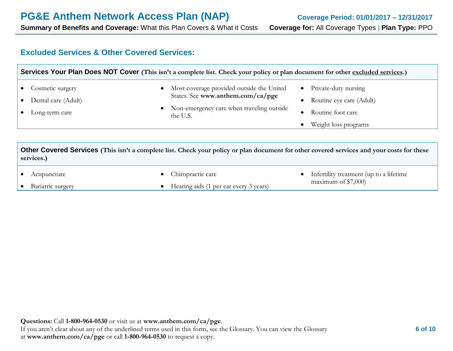**Summary of Benefits and Coverage:** What this Plan Covers & What it Costs **Coverage for:** All Coverage Types | **Plan Type:** PPO

## **Excluded Services & Other Covered Services:**

|                                                           | Services Your Plan Does NOT Cover (This isn't a complete list. Check your policy or plan document for other excluded services.)                                 |                                                                                                            |
|-----------------------------------------------------------|-----------------------------------------------------------------------------------------------------------------------------------------------------------------|------------------------------------------------------------------------------------------------------------|
| Cosmetic surgery<br>Dental care (Adult)<br>Long-term care | Most coverage provided outside the United<br>States. See www.anthem.com/ca/pge<br>Non-emergency care when traveling outside<br>the U.S.                         | Private-duty nursing<br>$\bullet$<br>Routine eye care (Adult)<br>Routine foot care<br>Weight loss programs |
| services.)<br>Acupuncture                                 | Other Covered Services (This isn't a complete list. Check your policy or plan document for other covered services and your costs for these<br>Chiropractic care | Infertility treatment (up to a lifetime)                                                                   |
| Bariatric surgery                                         | Hearing aids (1 per ear every 3 years)                                                                                                                          | maximum of $$7,000$                                                                                        |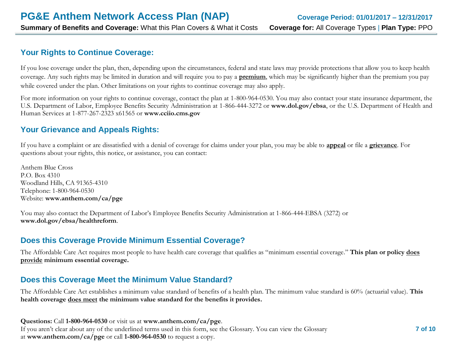# **Your Rights to Continue Coverage:**

If you lose coverage under the plan, then, depending upon the circumstances, federal and state laws may provide protections that allow you to keep health coverage. Any such rights may be limited in duration and will require you to pay a **premium**, which may be significantly higher than the premium you pay while covered under the plan. Other limitations on your rights to continue coverage may also apply.

For more information on your rights to continue coverage, contact the plan at 1-800-964-0530. You may also contact your state insurance department, the U.S. Department of Labor, Employee Benefits Security Administration at 1-866-444-3272 or **[www.dol.gov/ebsa](http://www.dol.gov/ebsa)**, or the U.S. Department of Health and Human Services at 1-877-267-2323 x61565 or **[www.cciio.cms.gov](http://www.cciio.cms.gov/)**

# **Your Grievance and Appeals Rights:**

If you have a complaint or are dissatisfied with a denial of coverage for claims under your plan, you may be able to **appeal** or file a **grievance**. For questions about your rights, this notice, or assistance, you can contact:

Anthem Blue Cross P.O. Box 4310 Woodland Hills, CA 91365-4310 Telephone: 1-800-964-0530 Website: **[www.anthem.com/ca/pge](http://www.anthem.com/ca/pge)**

You may also contact the Department of Labor's Employee Benefits Security Administration at 1-866-444-EBSA (3272) or **[www.dol.gov/ebsa/healthreform](http://www.dol.gov/ebsa/healthreform)**.

## **Does this Coverage Provide Minimum Essential Coverage?**

The Affordable Care Act requires most people to have health care coverage that qualifies as "minimum essential coverage." **This plan or policy does provide minimum essential coverage.** 

# **Does this Coverage Meet the Minimum Value Standard?**

The Affordable Care Act establishes a minimum value standard of benefits of a health plan. The minimum value standard is 60% (actuarial value). **This health coverage does meet the minimum value standard for the benefits it provides.** 

**Questions:** Call **1-800-964-0530** or visit us at **www.anthem.com/ca/pge**. If you aren't clear about any of the underlined terms used in this form, see the Glossary. You can view the Glossary at **www.anthem.com/ca/pge** or call **1-800-964-0530** to request a copy.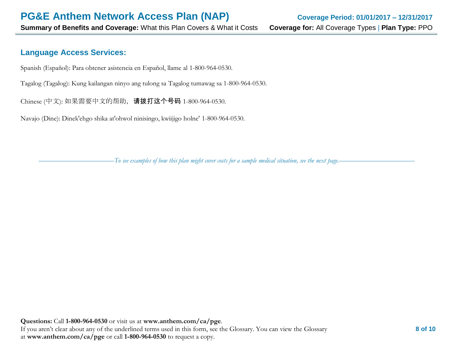## **Language Access Services:**

Spanish (Español): Para obtener asistencia en Español, llame al 1-800-964-0530.

Tagalog (Tagalog): Kung kailangan ninyo ang tulong sa Tagalog tumawag sa 1-800-964-0530.

Chinese (中文): 如果需要中文的帮助,请拨打这个号码 1-800-964-0530.

Navajo (Dine): Dinek'ehgo shika at'ohwol ninisingo, kwiijigo holne' 1-800-964-0530.

––––––––––––––––––––––*To see examples of how this plan might cover costs for a sample medical situation, see the next page.–––––––––––*–––––––––––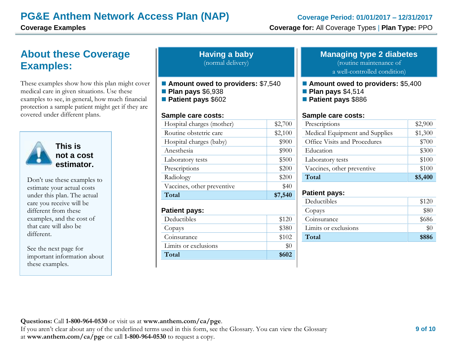# **About these Coverage Examples:**

These examples show how this plan might cover medical care in given situations. Use these examples to see, in general, how much financial protection a sample patient might get if they are covered under different plans.



**This is not a cost estimator.** 

Don't use these examples to estimate your actual costs under this plan. The actual care you receive will be different from these examples, and the cost of that care will also be different.

See the next page for important information about these examples.

| <b>Having a baby</b> |
|----------------------|
| (normal delivery)    |

- Amount owed to providers: \$7,540
- **Plan pays** \$6,938
- **Patient pays** \$602

#### **Sample care costs:**

| \$200<br>\$200<br>\$40 |
|------------------------|
|                        |
|                        |
|                        |
| \$500                  |
| \$900                  |
| \$900                  |
| \$2,100                |
| \$2,700                |
|                        |

#### **Patient pays:**

| Deductibles          | \$120 |
|----------------------|-------|
| Copays               | \$380 |
| Coinsurance          | \$102 |
| Limits or exclusions | \$0   |
| Total                | \$602 |

#### **Managing type 2 diabetes**

(routine maintenance of

a well-controlled condition)

- **Amount owed to providers:** \$5,400
- **Plan pays** \$4,514
- **Patient pays** \$886

#### **Sample care costs:**

| Prescriptions                  | \$2,900 |
|--------------------------------|---------|
| Medical Equipment and Supplies | \$1,300 |
| Office Visits and Procedures   | \$700   |
| Education                      | \$300   |
| Laboratory tests               | \$100   |
| Vaccines, other preventive     | \$100   |
| Total                          | \$5,400 |

### **Patient pays:**

| Deductibles          | \$120 |
|----------------------|-------|
| Copays               | \$80  |
| Coinsurance          | \$686 |
| Limits or exclusions | $\$0$ |
| Total                | \$886 |
|                      |       |